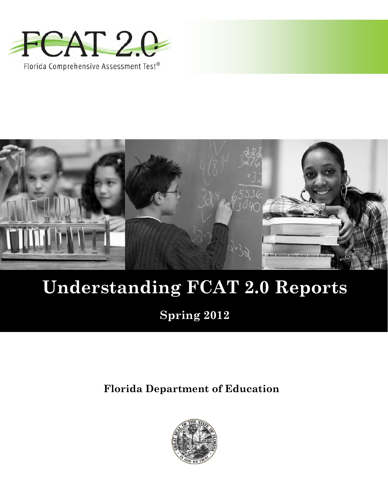



# **Understanding FCAT 2.0 Reports**

**Spring 2012**

**Florida Department of Education**

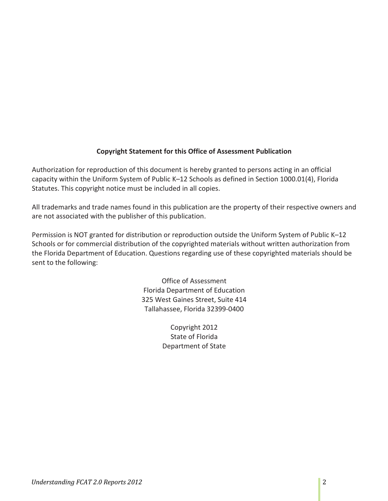# **Copyright Statement for this Office of Assessment Publication**

Authorization for reproduction of this document is hereby granted to persons acting in an official capacity within the Uniform System of Public K–12 Schools as defined in Section 1000.01(4), Florida Statutes. This copyright notice must be included in all copies.

All trademarks and trade names found in this publication are the property of their respective owners and are not associated with the publisher of this publication.

Permission is NOT granted for distribution or reproduction outside the Uniform System of Public K–12 Schools or for commercial distribution of the copyrighted materials without written authorization from the Florida Department of Education. Questions regarding use of these copyrighted materials should be sent to the following:

> Office of Assessment Florida Department of Education 325 West Gaines Street, Suite 414 Tallahassee, Florida 32399-0400

> > Copyright 2012 State of Florida Department of State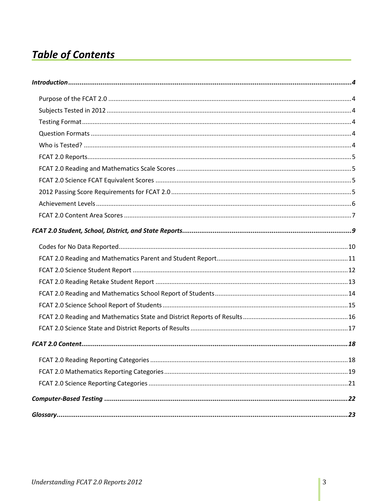# **Table of Contents**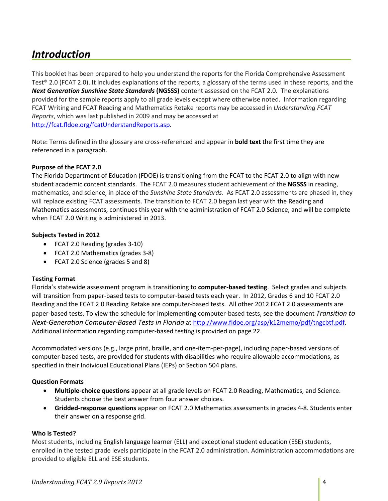# <span id="page-3-0"></span>*Introduction*

This booklet has been prepared to help you understand the reports for the Florida Comprehensive Assessment Test® 2.0 (FCAT 2.0). It includes explanations of the reports, a glossary of the terms used in these reports, and the *Next Generation Sunshine State Standards* **(NGSSS)** content assessed on the FCAT 2.0. The explanations provided for the sample reports apply to all grade levels except where otherwise noted. Information regarding FCAT Writing and FCAT Reading and Mathematics Retake reports may be accessed in *Understanding FCAT Reports*, which was last published in 2009 and may be accessed at [http://fcat.fldoe.org/fcatUnderstandReports.asp.](http://fcat.fldoe.org/fcatUnderstandReports.asp)

Note: Terms defined in the glossary are cross-referenced and appear in **bold text** the first time they are referenced in a paragraph.

#### <span id="page-3-1"></span>**Purpose of the FCAT 2.0**

The Florida Department of Education (FDOE) is transitioning from the FCAT to the FCAT 2.0 to align with new student academic content standards. The FCAT 2.0 measures student achievement of the **NGSSS** in reading, mathematics, and science, in place of the *Sunshine State Standards*. As FCAT 2.0 assessments are phased in, they will replace existing FCAT assessments. The transition to FCAT 2.0 began last year with the Reading and Mathematics assessments, continues this year with the administration of FCAT 2.0 Science, and will be complete when FCAT 2.0 Writing is administered in 2013.

#### <span id="page-3-2"></span>**Subjects Tested in 2012**

- FCAT 2.0 Reading (grades 3-10)
- FCAT 2.0 Mathematics (grades 3-8)
- FCAT 2.0 Science (grades 5 and 8)

#### <span id="page-3-3"></span>**Testing Format**

Florida's statewide assessment program is transitioning to **computer-based testing**. Select grades and subjects will transition from paper-based tests to computer-based tests each year. In 2012, Grades 6 and 10 FCAT 2.0 Reading and the FCAT 2.0 Reading Retake are computer-based tests. All other 2012 FCAT 2.0 assessments are paper-based tests. To view the schedule for implementing computer-based tests, see the document *Transition to Next-Generation Computer-Based Tests in Florida* a[t http://www.fldoe.org/asp/k12memo/pdf/tngcbtf.pdf.](http://www.fldoe.org/asp/k12memo/pdf/tngcbtf.pdf) Additional information regarding computer-based testing is provided on page 22.

Accommodated versions (e.g., large print, braille, and one-item-per-page), including paper-based versions of computer-based tests, are provided for students with disabilities who require allowable accommodations, as specified in their Individual Educational Plans (IEPs) or Section 504 plans.

#### <span id="page-3-4"></span>**Question Formats**

- **Multiple-choice questions** appear at all grade levels on FCAT 2.0 Reading, Mathematics, and Science. Students choose the best answer from four answer choices.
- **Gridded-response questions** appear on FCAT 2.0 Mathematics assessments in grades 4-8. Students enter their answer on a response grid.

#### <span id="page-3-5"></span>**Who is Tested?**

Most students, including English language learner (ELL) and exceptional student education (ESE) students, enrolled in the tested grade levels participate in the FCAT 2.0 administration. Administration accommodations are provided to eligible ELL and ESE students.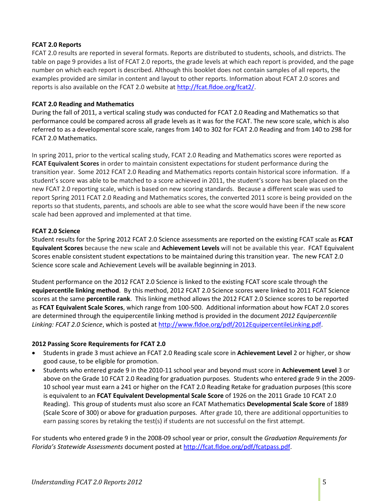#### <span id="page-4-0"></span>**FCAT 2.0 Reports**

FCAT 2.0 results are reported in several formats. Reports are distributed to students, schools, and districts. The table on page 9 provides a list of FCAT 2.0 reports, the grade levels at which each report is provided, and the page number on which each report is described. Although this booklet does not contain samples of all reports, the examples provided are similar in content and layout to other reports. Information about FCAT 2.0 scores and reports is also available on the FCAT 2.0 website at [http://fcat.fldoe.org/fcat2/.](http://fcat.fldoe.org/fcat2/)

#### <span id="page-4-1"></span>**FCAT 2.0 Reading and Mathematics**

During the fall of 2011, a vertical scaling study was conducted for FCAT 2.0 Reading and Mathematics so that performance could be compared across all grade levels as it was for the FCAT. The new score scale, which is also referred to as a developmental score scale, ranges from 140 to 302 for FCAT 2.0 Reading and from 140 to 298 for FCAT 2.0 Mathematics.

In spring 2011, prior to the vertical scaling study, FCAT 2.0 Reading and Mathematics scores were reported as **FCAT Equivalent Scores** in order to maintain consistent expectations for student performance during the transition year. Some 2012 FCAT 2.0 Reading and Mathematics reports contain historical score information. If a student's score was able to be matched to a score achieved in 2011, the student's score has been placed on the new FCAT 2.0 reporting scale, which is based on new scoring standards. Because a different scale was used to report Spring 2011 FCAT 2.0 Reading and Mathematics scores, the converted 2011 score is being provided on the reports so that students, parents, and schools are able to see what the score would have been if the new score scale had been approved and implemented at that time.

#### <span id="page-4-2"></span>**FCAT 2.0 Science**

Student results for the Spring 2012 FCAT 2.0 Science assessments are reported on the existing FCAT scale as **FCAT Equivalent Scores** because the new scale and **Achievement Levels** will not be available this year. FCAT Equivalent Scores enable consistent student expectations to be maintained during this transition year. The new FCAT 2.0 Science score scale and Achievement Levels will be available beginning in 2013.

Student performance on the 2012 FCAT 2.0 Science is linked to the existing FCAT score scale through the **equipercentile linking method**. By this method, 2012 FCAT 2.0 Science scores were linked to 2011 FCAT Science scores at the same **percentile rank**. This linking method allows the 2012 FCAT 2.0 Science scores to be reported as **FCAT Equivalent Scale Scores**, which range from 100-500. Additional information about how FCAT 2.0 scores are determined through the equipercentile linking method is provided in the document *2012 Equipercentile Linking: FCAT 2.0 Science*, which is posted at [http://www.fldoe.org/pdf/2012EquipercentileLinking.pdf.](http://www.fldoe.org/pdf/2012EquipercentileLinking.pdf)

#### <span id="page-4-3"></span>**2012 Passing Score Requirements for FCAT 2.0**

- Students in grade 3 must achieve an FCAT 2.0 Reading scale score in **Achievement Level** 2 or higher, or show good cause, to be eligible for promotion.
- Students who entered grade 9 in the 2010-11 school year and beyond must score in **Achievement Level** 3 or above on the Grade 10 FCAT 2.0 Reading for graduation purposes. Students who entered grade 9 in the 2009- 10 school year must earn a 241 or higher on the FCAT 2.0 Reading Retake for graduation purposes (this score is equivalent to an **FCAT Equivalent Developmental Scale Score** of 1926 on the 2011 Grade 10 FCAT 2.0 Reading). This group of students must also score an FCAT Mathematics **Developmental Scale Score** of 1889 (Scale Score of 300) or above for graduation purposes. After grade 10, there are additional opportunities to earn passing scores by retaking the test(s) if students are not successful on the first attempt.

For students who entered grade 9 in the 2008-09 school year or prior, consult the *Graduation Requirements for Florida's Statewide Assessments* document posted a[t http://fcat.fldoe.org/pdf/fcatpass.pdf.](http://fcat.fldoe.org/pdf/fcatpass.pdf)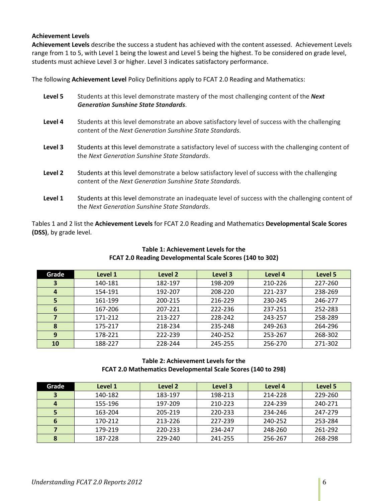#### <span id="page-5-0"></span>**Achievement Levels**

**Achievement Levels** describe the success a student has achieved with the content assessed. Achievement Levels range from 1 to 5, with Level 1 being the lowest and Level 5 being the highest. To be considered on grade level, students must achieve Level 3 or higher. Level 3 indicates satisfactory performance.

The following **Achievement Level** Policy Definitions apply to FCAT 2.0 Reading and Mathematics:

| Level 5 | Students at this level demonstrate mastery of the most challenging content of the <b>Next</b><br><b>Generation Sunshine State Standards.</b>               |
|---------|------------------------------------------------------------------------------------------------------------------------------------------------------------|
| Level 4 | Students at this level demonstrate an above satisfactory level of success with the challenging<br>content of the Next Generation Sunshine State Standards. |
| Level 3 | Students at this level demonstrate a satisfactory level of success with the challenging content of<br>the Next Generation Sunshine State Standards.        |
| Level 2 | Students at this level demonstrate a below satisfactory level of success with the challenging<br>content of the Next Generation Sunshine State Standards.  |
| Level 1 | Students at this level demonstrate an inadequate level of success with the challenging content of<br>the Next Generation Sunshine State Standards.         |

Tables 1 and 2 list the **Achievement Levels** for FCAT 2.0 Reading and Mathematics **Developmental Scale Scores (DSS)**, by grade level.

| Grade            | Level 1 | Level 2 | Level 3 | Level 4 | Level 5 |
|------------------|---------|---------|---------|---------|---------|
| 3                | 140-181 | 182-197 | 198-209 | 210-226 | 227-260 |
| $\boldsymbol{4}$ | 154-191 | 192-207 | 208-220 | 221-237 | 238-269 |
| 5                | 161-199 | 200-215 | 216-229 | 230-245 | 246-277 |
| 6                | 167-206 | 207-221 | 222-236 | 237-251 | 252-283 |
| 7                | 171-212 | 213-227 | 228-242 | 243-257 | 258-289 |
| 8                | 175-217 | 218-234 | 235-248 | 249-263 | 264-296 |
| 9                | 178-221 | 222-239 | 240-252 | 253-267 | 268-302 |
| 10               | 188-227 | 228-244 | 245-255 | 256-270 | 271-302 |

# **Table 1: Achievement Levels for the FCAT 2.0 Reading Developmental Scale Scores (140 to 302)**

#### **Table 2: Achievement Levels for the FCAT 2.0 Mathematics Developmental Scale Scores (140 to 298)**

| Grade | Level 1 | Level 2 | Level 3 | Level 4 | Level 5 |
|-------|---------|---------|---------|---------|---------|
| 3     | 140-182 | 183-197 | 198-213 | 214-228 | 229-260 |
| 4     | 155-196 | 197-209 | 210-223 | 224-239 | 240-271 |
| 5     | 163-204 | 205-219 | 220-233 | 234-246 | 247-279 |
| 6     | 170-212 | 213-226 | 227-239 | 240-252 | 253-284 |
| 7     | 179-219 | 220-233 | 234-247 | 248-260 | 261-292 |
| 8     | 187-228 | 229-240 | 241-255 | 256-267 | 268-298 |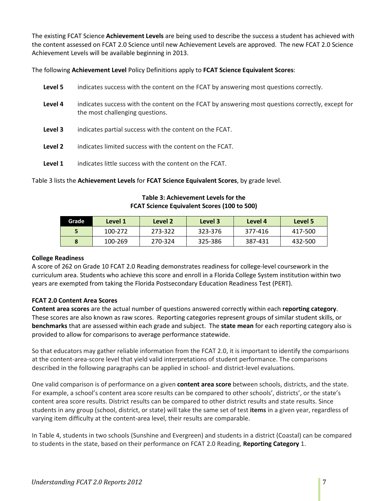The existing FCAT Science **Achievement Levels** are being used to describe the success a student has achieved with the content assessed on FCAT 2.0 Science until new Achievement Levels are approved. The new FCAT 2.0 Science Achievement Levels will be available beginning in 2013.

The following **Achievement Level** Policy Definitions apply to **FCAT Science Equivalent Scores**:

| Level 5 | indicates success with the content on the FCAT by answering most questions correctly.                                               |
|---------|-------------------------------------------------------------------------------------------------------------------------------------|
| Level 4 | indicates success with the content on the FCAT by answering most questions correctly, except for<br>the most challenging questions. |
| Level 3 | indicates partial success with the content on the FCAT.                                                                             |
| Level 2 | indicates limited success with the content on the FCAT.                                                                             |
| Level 1 | indicates little success with the content on the FCAT.                                                                              |
|         |                                                                                                                                     |

Table 3 lists the **Achievement Levels** for **FCAT Science Equivalent Scores**, by grade level.

| Grade | Level 1 | Level 2 | Level 3 | Level 4 | Level 5 |
|-------|---------|---------|---------|---------|---------|
|       | 100-272 | 273-322 | 323-376 | 377-416 | 417-500 |
|       | 100-269 | 270-324 | 325-386 | 387-431 | 432-500 |

# **Table 3: Achievement Levels for the FCAT Science Equivalent Scores (100 to 500)**

#### <span id="page-6-0"></span>**College Readiness**

A score of 262 on Grade 10 FCAT 2.0 Reading demonstrates readiness for college-level coursework in the curriculum area. Students who achieve this score and enroll in a Florida College System institution within two years are exempted from taking the Florida Postsecondary Education Readiness Test (PERT).

# **FCAT 2.0 Content Area Scores**

**Content area scores** are the actual number of questions answered correctly within each **reporting category**. These scores are also known as raw scores. Reporting categories represent groups of similar student skills, or **benchmarks** that are assessed within each grade and subject. The **state mean** for each reporting category also is provided to allow for comparisons to average performance statewide.

So that educators may gather reliable information from the FCAT 2.0, it is important to identify the comparisons at the content-area-score level that yield valid interpretations of student performance. The comparisons described in the following paragraphs can be applied in school- and district-level evaluations.

One valid comparison is of performance on a given **content area score** between schools, districts, and the state. For example, a school's content area score results can be compared to other schools', districts', or the state's content area score results. District results can be compared to other district results and state results. Since students in any group (school, district, or state) will take the same set of test **items** in a given year, regardless of varying item difficulty at the content-area level, their results are comparable.

In Table 4, students in two schools (Sunshine and Evergreen) and students in a district (Coastal) can be compared to students in the state, based on their performance on FCAT 2.0 Reading, **Reporting Category** 1.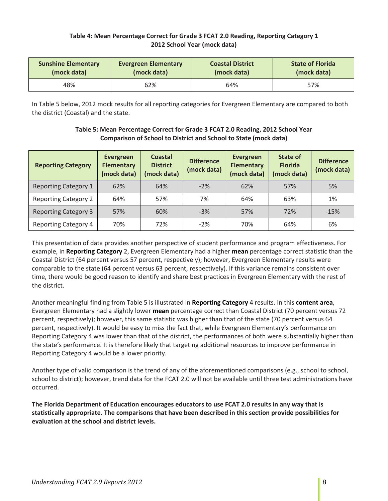# **Table 4: Mean Percentage Correct for Grade 3 FCAT 2.0 Reading, Reporting Category 1 2012 School Year (mock data)**

| <b>Sunshine Elementary</b><br><b>Evergreen Elementary</b><br>(mock data)<br>(mock data) |     | <b>Coastal District</b><br>(mock data) | <b>State of Florida</b><br>(mock data) |  |
|-----------------------------------------------------------------------------------------|-----|----------------------------------------|----------------------------------------|--|
| 48%                                                                                     | 62% | 64%                                    | 57%                                    |  |

In Table 5 below, 2012 mock results for all reporting categories for Evergreen Elementary are compared to both the district (Coastal) and the state.

| <b>Reporting Category</b>   | Evergreen<br><b>Elementary</b><br>(mock data) | <b>Coastal</b><br><b>District</b><br>(mock data) | <b>Difference</b><br>(mock data) | Evergreen<br><b>Elementary</b><br>(mock data) | State of<br><b>Florida</b><br>(mock data) | <b>Difference</b><br>(mock data) |
|-----------------------------|-----------------------------------------------|--------------------------------------------------|----------------------------------|-----------------------------------------------|-------------------------------------------|----------------------------------|
| <b>Reporting Category 1</b> | 62%                                           | 64%                                              | $-2%$                            | 62%                                           | 57%                                       | 5%                               |
| <b>Reporting Category 2</b> | 64%                                           | 57%                                              | 7%                               | 64%                                           | 63%                                       | 1%                               |
| <b>Reporting Category 3</b> | 57%                                           | 60%                                              | $-3%$                            | 57%                                           | 72%                                       | $-15%$                           |
| <b>Reporting Category 4</b> | 70%                                           | 72%                                              | $-2%$                            | 70%                                           | 64%                                       | 6%                               |

# **Table 5: Mean Percentage Correct for Grade 3 FCAT 2.0 Reading, 2012 School Year Comparison of School to District and School to State (mock data)**

This presentation of data provides another perspective of student performance and program effectiveness. For example, in **Reporting Category** 2, Evergreen Elementary had a higher **mean** percentage correct statistic than the Coastal District (64 percent versus 57 percent, respectively); however, Evergreen Elementary results were comparable to the state (64 percent versus 63 percent, respectively). If this variance remains consistent over time, there would be good reason to identify and share best practices in Evergreen Elementary with the rest of the district.

Another meaningful finding from Table 5 is illustrated in **Reporting Category** 4 results. In this **content area**, Evergreen Elementary had a slightly lower **mean** percentage correct than Coastal District (70 percent versus 72 percent, respectively); however, this same statistic was higher than that of the state (70 percent versus 64 percent, respectively). It would be easy to miss the fact that, while Evergreen Elementary's performance on Reporting Category 4 was lower than that of the district, the performances of both were substantially higher than the state's performance. It is therefore likely that targeting additional resources to improve performance in Reporting Category 4 would be a lower priority.

Another type of valid comparison is the trend of any of the aforementioned comparisons (e.g., school to school, school to district); however, trend data for the FCAT 2.0 will not be available until three test administrations have occurred.

**The Florida Department of Education encourages educators to use FCAT 2.0 results in any way that is statistically appropriate. The comparisons that have been described in this section provide possibilities for evaluation at the school and district levels.**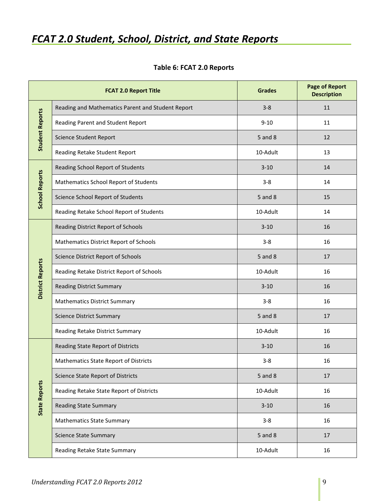# <span id="page-8-0"></span>*FCAT 2.0 Student, School, District, and State Reports*

|                         | <b>FCAT 2.0 Report Title</b>                      | <b>Grades</b> | <b>Page of Report</b><br><b>Description</b> |
|-------------------------|---------------------------------------------------|---------------|---------------------------------------------|
|                         | Reading and Mathematics Parent and Student Report | $3 - 8$       | 11                                          |
| <b>Student Reports</b>  | Reading Parent and Student Report                 | $9 - 10$      | 11                                          |
|                         | <b>Science Student Report</b>                     | 5 and 8       | 12                                          |
|                         | Reading Retake Student Report                     | 10-Adult      | 13                                          |
|                         | Reading School Report of Students                 | $3 - 10$      | 14                                          |
|                         | Mathematics School Report of Students             | $3 - 8$       | 14                                          |
| <b>School Reports</b>   | Science School Report of Students                 | 5 and 8       | 15                                          |
|                         | Reading Retake School Report of Students          | 10-Adult      | 14                                          |
|                         | Reading District Report of Schools                | $3 - 10$      | 16                                          |
|                         | <b>Mathematics District Report of Schools</b>     | $3 - 8$       | 16                                          |
| <b>District Reports</b> | Science District Report of Schools                | 5 and 8       | 17                                          |
|                         | Reading Retake District Report of Schools         | 10-Adult      | 16                                          |
|                         | <b>Reading District Summary</b>                   | $3 - 10$      | 16                                          |
|                         | <b>Mathematics District Summary</b>               | $3 - 8$       | 16                                          |
|                         | <b>Science District Summary</b>                   | 5 and 8       | 17                                          |
|                         | Reading Retake District Summary                   | 10-Adult      | 16                                          |
|                         | Reading State Report of Districts                 | $3 - 10$      | 16                                          |
|                         | Mathematics State Report of Districts             | $3 - 8$       | 16                                          |
| <b>State Reports</b>    | <b>Science State Report of Districts</b>          | 5 and 8       | 17                                          |
|                         | Reading Retake State Report of Districts          | 10-Adult      | 16                                          |
|                         | <b>Reading State Summary</b>                      | $3 - 10$      | 16                                          |
|                         | <b>Mathematics State Summary</b>                  | $3 - 8$       | 16                                          |
|                         | <b>Science State Summary</b>                      | 5 and 8       | 17                                          |
|                         | Reading Retake State Summary                      | 10-Adult      | 16                                          |

# **Table 6: FCAT 2.0 Reports**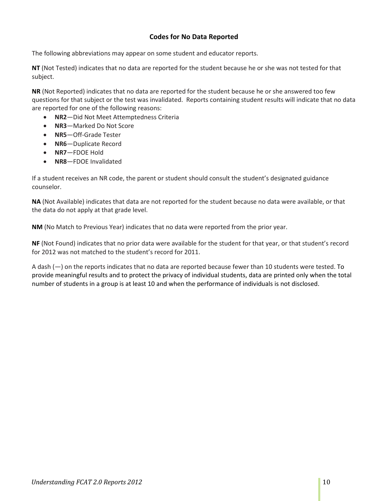# **Codes for No Data Reported**

<span id="page-9-0"></span>The following abbreviations may appear on some student and educator reports.

**NT** (Not Tested) indicates that no data are reported for the student because he or she was not tested for that subject.

**NR** (Not Reported) indicates that no data are reported for the student because he or she answered too few questions for that subject or the test was invalidated. Reports containing student results will indicate that no data are reported for one of the following reasons:

- **NR2**—Did Not Meet Attemptedness Criteria
- **NR3**—Marked Do Not Score
- **NR5**—Off-Grade Tester
- **NR6**—Duplicate Record
- **NR7**—FDOE Hold
- **NR8**—FDOE Invalidated

If a student receives an NR code, the parent or student should consult the student's designated guidance counselor.

**NA** (Not Available) indicates that data are not reported for the student because no data were available, or that the data do not apply at that grade level.

**NM** (No Match to Previous Year) indicates that no data were reported from the prior year.

**NF** (Not Found) indicates that no prior data were available for the student for that year, or that student's record for 2012 was not matched to the student's record for 2011.

A dash (—) on the reports indicates that no data are reported because fewer than 10 students were tested. To provide meaningful results and to protect the privacy of individual students, data are printed only when the total number of students in a group is at least 10 and when the performance of individuals is not disclosed.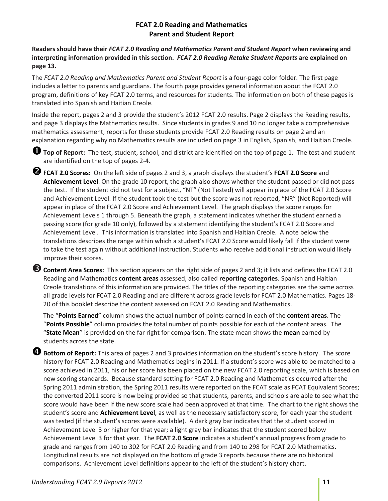# **FCAT 2.0 Reading and Mathematics Parent and Student Report**

**Readers should have their** *FCAT 2.0 Reading and Mathematics Parent and Student Report* **when reviewing and interpreting information provided in this section.** *FCAT 2.0 Reading Retake Student Reports* **are explained on page 13.**

The *FCAT 2.0 Reading and Mathematics Parent and Student Report* is a four-page color folder. The first page includes a letter to parents and guardians. The fourth page provides general information about the FCAT 2.0 program, definitions of key FCAT 2.0 terms, and resources for students. The information on both of these pages is translated into Spanish and Haitian Creole.

Inside the report, pages 2 and 3 provide the student's 2012 FCAT 2.0 results. Page 2 displays the Reading results, and page 3 displays the Mathematics results. Since students in grades 9 and 10 no longer take a comprehensive mathematics assessment, reports for these students provide FCAT 2.0 Reading results on page 2 and an explanation regarding why no Mathematics results are included on page 3 in English, Spanish, and Haitian Creole.

**Top of Report:** The test, student, school, and district are identified on the top of page 1. The test and student are identified on the top of pages 2-4.

**FCAT 2.0 Scores:** On the left side of pages 2 and 3, a graph displays the student's **FCAT 2.0 Score** and **Achievement Level**. On the grade 10 report, the graph also shows whether the student passed or did not pass the test. If the student did not test for a subject, "NT" (Not Tested) will appear in place of the FCAT 2.0 Score and Achievement Level. If the student took the test but the score was not reported, "NR" (Not Reported) will appear in place of the FCAT 2.0 Score and Achievement Level. The graph displays the score ranges for Achievement Levels 1 through 5. Beneath the graph, a statement indicates whether the student earned a passing score (for grade 10 only), followed by a statement identifying the student's FCAT 2.0 Score and Achievement Level. This information is translated into Spanish and Haitian Creole. A note below the translations describes the range within which a student's FCAT 2.0 Score would likely fall if the student were to take the test again without additional instruction. Students who receive additional instruction would likely improve their scores.

**Content Area Scores:** This section appears on the right side of pages 2 and 3; it lists and defines the FCAT 2.0 Reading and Mathematics **content areas** assessed, also called **reporting categories**. Spanish and Haitian Creole translations of this information are provided. The titles of the reporting categories are the same across all grade levels for FCAT 2.0 Reading and are different across grade levels for FCAT 2.0 Mathematics. Pages 18- 20 of this booklet describe the content assessed on FCAT 2.0 Reading and Mathematics.

The "**Points Earned**" column shows the actual number of points earned in each of the **content areas**. The "**Points Possible**" column provides the total number of points possible for each of the content areas. The "**State Mean**" is provided on the far right for comparison. The state mean shows the **mean** earned by students across the state.

**Bottom of Report:** This area of pages 2 and 3 provides information on the student's score history. The score history for FCAT 2.0 Reading and Mathematics begins in 2011. If a student's score was able to be matched to a score achieved in 2011, his or her score has been placed on the new FCAT 2.0 reporting scale, which is based on new scoring standards. Because standard setting for FCAT 2.0 Reading and Mathematics occurred after the Spring 2011 administration, the Spring 2011 results were reported on the FCAT scale as FCAT Equivalent Scores; the converted 2011 score is now being provided so that students, parents, and schools are able to see what the score would have been if the new score scale had been approved at that time. The chart to the right shows the student's score and **Achievement Level**, as well as the necessary satisfactory score, for each year the student was tested (if the student's scores were available). A dark gray bar indicates that the student scored in Achievement Level 3 or higher for that year; a light gray bar indicates that the student scored below Achievement Level 3 for that year. The **FCAT 2.0 Score** indicates a student's annual progress from grade to grade and ranges from 140 to 302 for FCAT 2.0 Reading and from 140 to 298 for FCAT 2.0 Mathematics. Longitudinal results are not displayed on the bottom of grade 3 reports because there are no historical comparisons. Achievement Level definitions appear to the left of the student's history chart.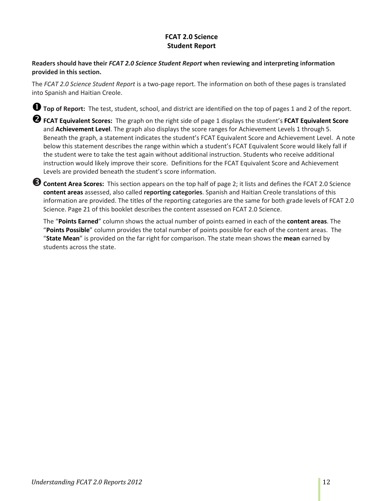# **FCAT 2.0 Science Student Report**

# <span id="page-11-0"></span>**Readers should have their** *FCAT 2.0 Science Student Report* **when reviewing and interpreting information provided in this section.**

The *FCAT 2.0 Science Student Report* is a two-page report. The information on both of these pages is translated into Spanish and Haitian Creole.

**Top of Report:** The test, student, school, and district are identified on the top of pages 1 and 2 of the report.

**FCAT Equivalent Scores:** The graph on the right side of page 1 displays the student's **FCAT Equivalent Score**  and **Achievement Level**. The graph also displays the score ranges for Achievement Levels 1 through 5. Beneath the graph, a statement indicates the student's FCAT Equivalent Score and Achievement Level. A note below this statement describes the range within which a student's FCAT Equivalent Score would likely fall if the student were to take the test again without additional instruction. Students who receive additional instruction would likely improve their score. Definitions for the FCAT Equivalent Score and Achievement Levels are provided beneath the student's score information.

**Content Area Scores:** This section appears on the top half of page 2; it lists and defines the FCAT 2.0 Science **content areas** assessed, also called **reporting categories**. Spanish and Haitian Creole translations of this information are provided. The titles of the reporting categories are the same for both grade levels of FCAT 2.0 Science. Page 21 of this booklet describes the content assessed on FCAT 2.0 Science.

The "**Points Earned**" column shows the actual number of points earned in each of the **content areas**. The "**Points Possible**" column provides the total number of points possible for each of the content areas. The "**State Mean**" is provided on the far right for comparison. The state mean shows the **mean** earned by students across the state.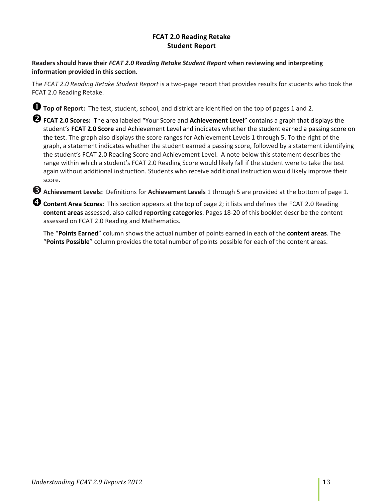# **FCAT 2.0 Reading Retake Student Report**

# <span id="page-12-0"></span>**Readers should have their** *FCAT 2.0 Reading Retake Student Report* **when reviewing and interpreting information provided in this section.**

The *FCAT 2.0 Reading Retake Student Report* is a two-page report that provides results for students who took the FCAT 2.0 Reading Retake.

**Top of Report:** The test, student, school, and district are identified on the top of pages 1 and 2.

**FCAT 2.0 Scores:** The area labeled "Your Score and **Achievement Level**" contains a graph that displays the student's **FCAT 2.0 Score** and Achievement Level and indicates whether the student earned a passing score on the test. The graph also displays the score ranges for Achievement Levels 1 through 5. To the right of the graph, a statement indicates whether the student earned a passing score, followed by a statement identifying the student's FCAT 2.0 Reading Score and Achievement Level. A note below this statement describes the range within which a student's FCAT 2.0 Reading Score would likely fall if the student were to take the test again without additional instruction. Students who receive additional instruction would likely improve their score.

**Achievement Levels:** Definitions for **Achievement Levels** 1 through 5 are provided at the bottom of page 1.

**Content Area Scores:** This section appears at the top of page 2; it lists and defines the FCAT 2.0 Reading **content areas** assessed, also called **reporting categories**. Pages 18-20 of this booklet describe the content assessed on FCAT 2.0 Reading and Mathematics.

The "**Points Earned**" column shows the actual number of points earned in each of the **content areas**. The "**Points Possible**" column provides the total number of points possible for each of the content areas.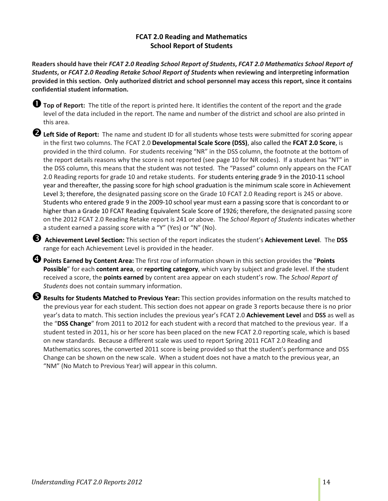# **FCAT 2.0 Reading and Mathematics School Report of Students**

<span id="page-13-0"></span>**Readers should have their** *FCAT 2.0 Reading School Report of Students***,** *FCAT 2.0 Mathematics School Report of Students***, or** *FCAT 2.0 Reading Retake School Report of Students* **when reviewing and interpreting information provided in this section. Only authorized district and school personnel may access this report, since it contains confidential student information.**

**Top of Report:** The title of the report is printed here. It identifies the content of the report and the grade level of the data included in the report. The name and number of the district and school are also printed in this area.

**Left Side of Report:** The name and student ID for all students whose tests were submitted for scoring appear in the first two columns. The FCAT 2.0 **Developmental Scale Score (DSS)**, also called the **FCAT 2.0 Score**, is provided in the third column. For students receiving "NR" in the DSS column, the footnote at the bottom of the report details reasons why the score is not reported (see page 10 for NR codes). If a student has "NT" in the DSS column, this means that the student was not tested. The "Passed" column only appears on the FCAT 2.0 Reading reports for grade 10 and retake students. For students entering grade 9 in the 2010-11 school year and thereafter, the passing score for high school graduation is the minimum scale score in Achievement Level 3; therefore, the designated passing score on the Grade 10 FCAT 2.0 Reading report is 245 or above. Students who entered grade 9 in the 2009-10 school year must earn a passing score that is concordant to or higher than a Grade 10 FCAT Reading Equivalent Scale Score of 1926; therefore, the designated passing score on the 2012 FCAT 2.0 Reading Retake report is 241 or above. The *School Report of Students* indicates whether a student earned a passing score with a "Y" (Yes) or "N" (No).

 **Achievement Level Section:** This section of the report indicates the student's **Achievement Level**. The **DSS**  range for each Achievement Level is provided in the header.

**Points Earned by Content Area:** The first row of information shown in this section provides the "**Points Possible**" for each **content area**, or **reporting category**, which vary by subject and grade level. If the student received a score, the **points earned** by content area appear on each student's row. The *School Report of Students* does not contain summary information.

**Results for Students Matched to Previous Year:** This section provides information on the results matched to the previous year for each student. This section does not appear on grade 3 reports because there is no prior year's data to match. This section includes the previous year's FCAT 2.0 **Achievement Level** and **DSS** as well as the "**DSS Change**" from 2011 to 2012 for each student with a record that matched to the previous year. If a student tested in 2011, his or her score has been placed on the new FCAT 2.0 reporting scale, which is based on new standards. Because a different scale was used to report Spring 2011 FCAT 2.0 Reading and Mathematics scores, the converted 2011 score is being provided so that the student's performance and DSS Change can be shown on the new scale. When a student does not have a match to the previous year, an "NM" (No Match to Previous Year) will appear in this column.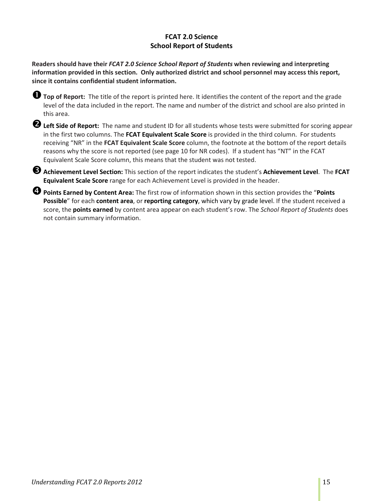# **FCAT 2.0 Science School Report of Students**

<span id="page-14-0"></span>**Readers should have their** *FCAT 2.0 Science School Report of Students* **when reviewing and interpreting information provided in this section. Only authorized district and school personnel may access this report, since it contains confidential student information.**

**U** Top of Report: The title of the report is printed here. It identifies the content of the report and the grade level of the data included in the report. The name and number of the district and school are also printed in this area.

**Left Side of Report:** The name and student ID for all students whose tests were submitted for scoring appear in the first two columns. The **FCAT Equivalent Scale Score** is provided in the third column. For students receiving "NR" in the **FCAT Equivalent Scale Score** column, the footnote at the bottom of the report details reasons why the score is not reported (see page 10 for NR codes). If a student has "NT" in the FCAT Equivalent Scale Score column, this means that the student was not tested.

**Achievement Level Section:** This section of the report indicates the student's **Achievement Level**. The **FCAT Equivalent Scale Score** range for each Achievement Level is provided in the header.

**Points Earned by Content Area:** The first row of information shown in this section provides the "**Points Possible**" for each **content area**, or **reporting category**, which vary by grade level. If the student received a score, the **points earned** by content area appear on each student's row. The *School Report of Students* does not contain summary information.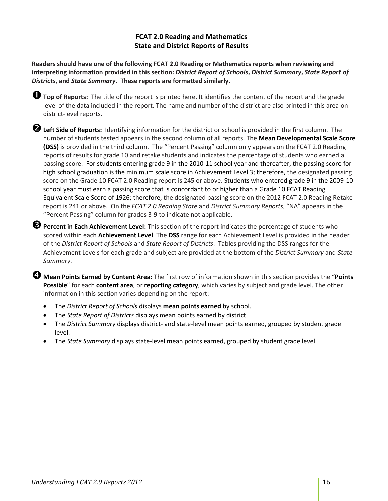# **FCAT 2.0 Reading and Mathematics State and District Reports of Results**

<span id="page-15-0"></span>**Readers should have one of the following FCAT 2.0 Reading or Mathematics reports when reviewing and interpreting information provided in this section:** *District Report of Schools***,** *District Summary***,** *State Report of Districts***, and** *State Summary***. These reports are formatted similarly.** 

**Top of Reports:** The title of the report is printed here. It identifies the content of the report and the grade level of the data included in the report. The name and number of the district are also printed in this area on district-level reports.

**Left Side of Reports:** Identifying information for the district or school is provided in the first column. The number of students tested appears in the second column of all reports. The **Mean Developmental Scale Score (DSS)** is provided in the third column. The "Percent Passing" column only appears on the FCAT 2.0 Reading reports of results for grade 10 and retake students and indicates the percentage of students who earned a passing score. For students entering grade 9 in the 2010-11 school year and thereafter, the passing score for high school graduation is the minimum scale score in Achievement Level 3; therefore, the designated passing score on the Grade 10 FCAT 2.0 Reading report is 245 or above. Students who entered grade 9 in the 2009-10 school year must earn a passing score that is concordant to or higher than a Grade 10 FCAT Reading Equivalent Scale Score of 1926; therefore, the designated passing score on the 2012 FCAT 2.0 Reading Retake report is 241 or above. On the *FCAT 2.0 Reading State* and *District Summary Reports*, "NA" appears in the "Percent Passing" column for grades 3-9 to indicate not applicable.

**Percent in Each Achievement Level:** This section of the report indicates the percentage of students who scored within each **Achievement Level**. The **DSS** range for each Achievement Level is provided in the header of the *District Report of Schools* and *State Report of Districts*. Tables providing the DSS ranges for the Achievement Levels for each grade and subject are provided at the bottom of the *District Summary* and *State Summary*.

**Mean Points Earned by Content Area:** The first row of information shown in this section provides the "**Points Possible**" for each **content area**, or **reporting category**, which varies by subject and grade level. The other information in this section varies depending on the report:

- The *District Report of Schools* displays **mean points earned** by school.
- The *State Report of Districts* displays mean points earned by district.
- The *District Summary* displays district- and state-level mean points earned, grouped by student grade level.
- The *State Summary* displays state-level mean points earned, grouped by student grade level.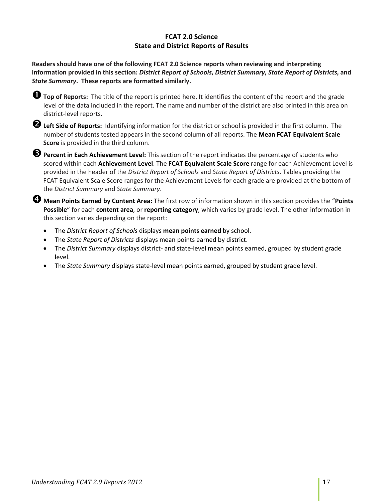# **FCAT 2.0 Science State and District Reports of Results**

<span id="page-16-0"></span>**Readers should have one of the following FCAT 2.0 Science reports when reviewing and interpreting information provided in this section:** *District Report of Schools***,** *District Summary***,** *State Report of Districts***, and**  *State Summary***. These reports are formatted similarly.** 

**Top of Reports:** The title of the report is printed here. It identifies the content of the report and the grade level of the data included in the report. The name and number of the district are also printed in this area on district-level reports.

**Left Side of Reports:** Identifying information for the district or school is provided in the first column. The number of students tested appears in the second column of all reports. The **Mean FCAT Equivalent Scale Score** is provided in the third column.

**Percent in Each Achievement Level:** This section of the report indicates the percentage of students who scored within each **Achievement Level**. The **FCAT Equivalent Scale Score** range for each Achievement Level is provided in the header of the *District Report of Schools* and *State Report of Districts*. Tables providing the FCAT Equivalent Scale Score ranges for the Achievement Levels for each grade are provided at the bottom of the *District Summary* and *State Summary*.

**Mean Points Earned by Content Area:** The first row of information shown in this section provides the "**Points Possible**" for each **content area**, or **reporting category**, which varies by grade level. The other information in this section varies depending on the report:

- The *District Report of Schools* displays **mean points earned** by school.
- The *State Report of Districts* displays mean points earned by district.
- The *District Summary* displays district- and state-level mean points earned, grouped by student grade level.
- The *State Summary* displays state-level mean points earned, grouped by student grade level.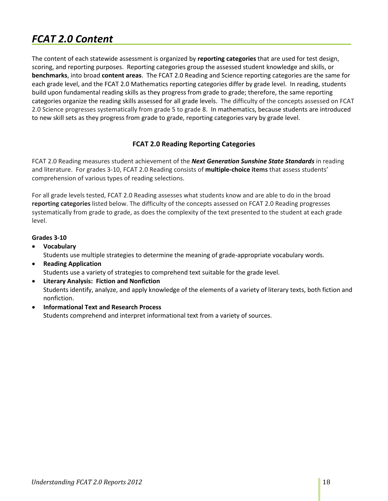# <span id="page-17-0"></span>*FCAT 2.0 Content*

The content of each statewide assessment is organized by **reporting categories** that are used for test design, scoring, and reporting purposes. Reporting categories group the assessed student knowledge and skills, or **benchmarks**, into broad **content areas**. The FCAT 2.0 Reading and Science reporting categories are the same for each grade level, and the FCAT 2.0 Mathematics reporting categories differ by grade level. In reading, students build upon fundamental reading skills as they progress from grade to grade; therefore, the same reporting categories organize the reading skills assessed for all grade levels. The difficulty of the concepts assessed on FCAT 2.0 Science progresses systematically from grade 5 to grade 8. In mathematics, because students are introduced to new skill sets as they progress from grade to grade, reporting categories vary by grade level.

# **FCAT 2.0 Reading Reporting Categories**

<span id="page-17-1"></span>FCAT 2.0 Reading measures student achievement of the *Next Generation Sunshine State Standards* in reading and literature. For grades 3-10, FCAT 2.0 Reading consists of **multiple-choice items** that assess students' comprehension of various types of reading selections.

For all grade levels tested, FCAT 2.0 Reading assesses what students know and are able to do in the broad **reporting categories** listed below. The difficulty of the concepts assessed on FCAT 2.0 Reading progresses systematically from grade to grade, as does the complexity of the text presented to the student at each grade level.

# **Grades 3-10**

- **Vocabulary** Students use multiple strategies to determine the meaning of grade-appropriate vocabulary words.
- **Reading Application** Students use a variety of strategies to comprehend text suitable for the grade level.
- **Literary Analysis: Fiction and Nonfiction** Students identify, analyze, and apply knowledge of the elements of a variety of literary texts, both fiction and nonfiction.
- **Informational Text and Research Process** Students comprehend and interpret informational text from a variety of sources.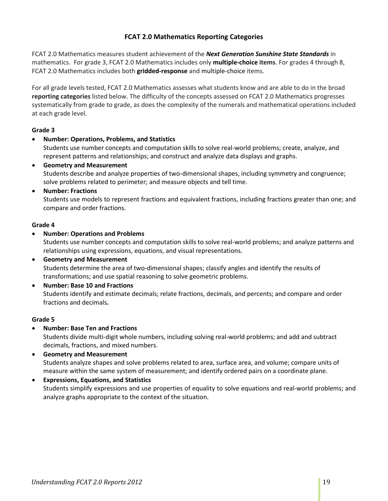# **FCAT 2.0 Mathematics Reporting Categories**

<span id="page-18-0"></span>FCAT 2.0 Mathematics measures student achievement of the *Next Generation Sunshine State Standards* in mathematics. For grade 3, FCAT 2.0 Mathematics includes only **multiple-choice items**. For grades 4 through 8, FCAT 2.0 Mathematics includes both **gridded-response** and multiple-choice items.

For all grade levels tested, FCAT 2.0 Mathematics assesses what students know and are able to do in the broad **reporting categories** listed below. The difficulty of the concepts assessed on FCAT 2.0 Mathematics progresses systematically from grade to grade, as does the complexity of the numerals and mathematical operations included at each grade level.

#### **Grade 3**

• **Number: Operations, Problems, and Statistics**

Students use number concepts and computation skills to solve real-world problems; create, analyze, and represent patterns and relationships; and construct and analyze data displays and graphs.

• **Geometry and Measurement** Students describe and analyze properties of two-dimensional shapes, including symmetry and congruence; solve problems related to perimeter; and measure objects and tell time.

#### • **Number: Fractions**

Students use models to represent fractions and equivalent fractions, including fractions greater than one; and compare and order fractions.

#### **Grade 4**

• **Number: Operations and Problems**

Students use number concepts and computation skills to solve real-world problems; and analyze patterns and relationships using expressions, equations, and visual representations.

- **Geometry and Measurement** Students determine the area of two-dimensional shapes; classify angles and identify the results of transformations; and use spatial reasoning to solve geometric problems.
- **Number: Base 10 and Fractions** Students identify and estimate decimals; relate fractions, decimals, and percents; and compare and order fractions and decimals**.**

# **Grade 5**

• **Number: Base Ten and Fractions**

Students divide multi-digit whole numbers, including solving real-world problems; and add and subtract decimals, fractions, and mixed numbers.

- **Geometry and Measurement** Students analyze shapes and solve problems related to area, surface area, and volume; compare units of measure within the same system of measurement; and identify ordered pairs on a coordinate plane.
- **Expressions, Equations, and Statistics** Students simplify expressions and use properties of equality to solve equations and real-world problems; and analyze graphs appropriate to the context of the situation.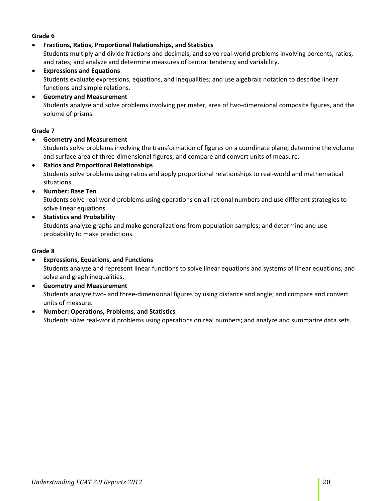# **Grade 6**

• **Fractions, Ratios, Proportional Relationships, and Statistics**

Students multiply and divide fractions and decimals, and solve real-world problems involving percents, ratios, and rates; and analyze and determine measures of central tendency and variability.

- **Expressions and Equations** Students evaluate expressions, equations, and inequalities; and use algebraic notation to describe linear functions and simple relations.
- **Geometry and Measurement** Students analyze and solve problems involving perimeter, area of two-dimensional composite figures, and the volume of prisms.

#### **Grade 7**

• **Geometry and Measurement**

Students solve problems involving the transformation of figures on a coordinate plane; determine the volume and surface area of three-dimensional figures; and compare and convert units of measure.

- **Ratios and Proportional Relationships** Students solve problems using ratios and apply proportional relationships to real-world and mathematical situations.
- **Number: Base Ten**

Students solve real-world problems using operations on all rational numbers and use different strategies to solve linear equations.

• **Statistics and Probability**

Students analyze graphs and make generalizations from population samples; and determine and use probability to make predictions.

#### **Grade 8**

- **Expressions, Equations, and Functions** Students analyze and represent linear functions to solve linear equations and systems of linear equations; and solve and graph inequalities.
- **Geometry and Measurement** Students analyze two- and three-dimensional figures by using distance and angle; and compare and convert units of measure.
- **Number: Operations, Problems, and Statistics** Students solve real-world problems using operations on real numbers; and analyze and summarize data sets.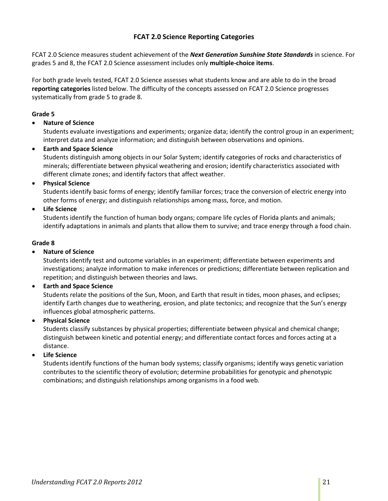# **FCAT 2.0 Science Reporting Categories**

<span id="page-20-0"></span>FCAT 2.0 Science measures student achievement of the *Next Generation Sunshine State Standards* in science. For grades 5 and 8, the FCAT 2.0 Science assessment includes only **multiple-choice items**.

For both grade levels tested, FCAT 2.0 Science assesses what students know and are able to do in the broad **reporting categories** listed below. The difficulty of the concepts assessed on FCAT 2.0 Science progresses systematically from grade 5 to grade 8.

#### **Grade 5**

### • **Nature of Science**

Students evaluate investigations and experiments; organize data; identify the control group in an experiment; interpret data and analyze information; and distinguish between observations and opinions.

#### • **Earth and Space Science**

Students distinguish among objects in our Solar System; identify categories of rocks and characteristics of minerals; differentiate between physical weathering and erosion; identify characteristics associated with different climate zones; and identify factors that affect weather.

#### • **Physical Science**

Students identify basic forms of energy; identify familiar forces; trace the conversion of electric energy into other forms of energy; and distinguish relationships among mass, force, and motion.

# • **Life Science**

Students identify the function of human body organs; compare life cycles of Florida plants and animals; identify adaptations in animals and plants that allow them to survive; and trace energy through a food chain.

#### **Grade 8**

### • **Nature of Science**

Students identify test and outcome variables in an experiment; differentiate between experiments and investigations; analyze information to make inferences or predictions; differentiate between replication and repetition; and distinguish between theories and laws.

#### • **Earth and Space Science**

Students relate the positions of the Sun, Moon, and Earth that result in tides, moon phases, and eclipses; identify Earth changes due to weathering, erosion, and plate tectonics; and recognize that the Sun's energy influences global atmospheric patterns.

#### • **Physical Science**

Students classify substances by physical properties; differentiate between physical and chemical change; distinguish between kinetic and potential energy; and differentiate contact forces and forces acting at a distance.

# • **Life Science**

Students identify functions of the human body systems; classify organisms; identify ways genetic variation contributes to the scientific theory of evolution; determine probabilities for genotypic and phenotypic combinations; and distinguish relationships among organisms in a food web.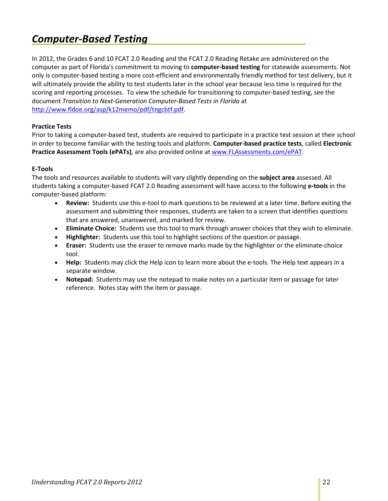# <span id="page-21-0"></span>*Computer-Based Testing*

In 2012, the Grades 6 and 10 FCAT 2.0 Reading and the FCAT 2.0 Reading Retake are administered on the computer as part of Florida's commitment to moving to **computer-based testing** for statewide assessments. Not only is computer-based testing a more cost-efficient and environmentally friendly method for test delivery, but it will ultimately provide the ability to test students later in the school year because less time is required for the scoring and reporting processes. To view the schedule for transitioning to computer-based testing, see the document *Transition to Next-Generation Computer-Based Tests in Florida* at [http://www.fldoe.org/asp/k12memo/pdf/tngcbtf.pdf.](http://www.fldoe.org/asp/k12memo/pdf/tngcbtf.pdf)

# **Practice Tests**

Prior to taking a computer-based test, students are required to participate in a practice test session at their school in order to become familiar with the testing tools and platform. **Computer-based practice tests**, called **Electronic Practice Assessment Tools (ePATs)**, are also provided online at [www.FLAssessments.com/ePAT.](http://www.flassessments.com/ePAT)

# **E-Tools**

The tools and resources available to students will vary slightly depending on the **subject area** assessed. All students taking a computer-based FCAT 2.0 Reading assessment will have access to the following **e-tools** in the computer-based platform:

- **Review:** Students use this e-tool to mark questions to be reviewed at a later time. Before exiting the assessment and submitting their responses, students are taken to a screen that identifies questions that are answered, unanswered, and marked for review.
- **Eliminate Choice:** Students use this tool to mark through answer choices that they wish to eliminate.
- **Highlighter:** Students use this tool to highlight sections of the question or passage.
- **Eraser:** Students use the eraser to remove marks made by the highlighter or the eliminate-choice tool.
- **Help:** Students may click the Help icon to learn more about the e-tools. The Help text appears in a separate window.
- **Notepad:** Students may use the notepad to make notes on a particular item or passage for later reference. Notes stay with the item or passage.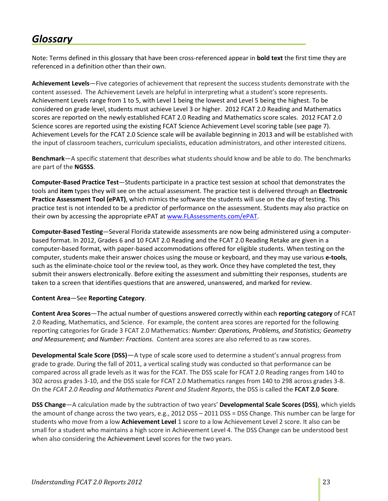# <span id="page-22-0"></span>*Glossary*

Note: Terms defined in this glossary that have been cross-referenced appear in **bold text** the first time they are referenced in a definition other than their own.

**Achievement Levels**—Five categories of achievement that represent the success students demonstrate with the content assessed. The Achievement Levels are helpful in interpreting what a student's score represents. Achievement Levels range from 1 to 5, with Level 1 being the lowest and Level 5 being the highest. To be considered on grade level, students must achieve Level 3 or higher. 2012 FCAT 2.0 Reading and Mathematics scores are reported on the newly established FCAT 2.0 Reading and Mathematics score scales. 2012 FCAT 2.0 Science scores are reported using the existing FCAT Science Achievement Level scoring table (see page 7). Achievement Levels for the FCAT 2.0 Science scale will be available beginning in 2013 and will be established with the input of classroom teachers, curriculum specialists, education administrators, and other interested citizens.

**Benchmark**—A specific statement that describes what students should know and be able to do. The benchmarks are part of the **NGSSS**.

**Computer-Based Practice Test**—Students participate in a practice test session at school that demonstrates the tools and **item** types they will see on the actual assessment. The practice test is delivered through an **Electronic Practice Assessment Tool (ePAT)**, which mimics the software the students will use on the day of testing. This practice test is not intended to be a predictor of performance on the assessment. Students may also practice on their own by accessing the appropriate ePAT a[t www.FLAssessments.com/ePAT.](http://www.flassessments.com/ePAT)

**Computer-Based Testing**—Several Florida statewide assessments are now being administered using a computerbased format. In 2012, Grades 6 and 10 FCAT 2.0 Reading and the FCAT 2.0 Reading Retake are given in a computer-based format, with paper-based accommodations offered for eligible students. When testing on the computer, students make their answer choices using the mouse or keyboard, and they may use various **e-tools**, such as the eliminate-choice tool or the review tool, as they work. Once they have completed the test, they submit their answers electronically. Before exiting the assessment and submitting their responses, students are taken to a screen that identifies questions that are answered, unanswered, and marked for review.

#### **Content Area**—See **Reporting Category**.

**Content Area Scores**—The actual number of questions answered correctly within each **reporting category** of FCAT 2.0 Reading, Mathematics, and Science. For example, the content area scores are reported for the following reporting categories for Grade 3 FCAT 2.0 Mathematics: *Number: Operations, Problems, and Statistics; Geometry and Measurement; and Number: Fractions*. Content area scores are also referred to as raw scores.

**Developmental Scale Score (DSS)**—A type of scale score used to determine a student's annual progress from grade to grade. During the fall of 2011, a vertical scaling study was conducted so that performance can be compared across all grade levels as it was for the FCAT. The DSS scale for FCAT 2.0 Reading ranges from 140 to 302 across grades 3-10, and the DSS scale for FCAT 2.0 Mathematics ranges from 140 to 298 across grades 3-8. On the *FCAT 2.0 Reading and Mathematics Parent and Student Reports*, the DSS is called the **FCAT 2.0 Score**.

**DSS Change**—A calculation made by the subtraction of two years' **Developmental Scale Scores (DSS)**, which yields the amount of change across the two years, e.g., 2012 DSS – 2011 DSS = DSS Change. This number can be large for students who move from a low **Achievement Level** 1 score to a low Achievement Level 2 score. It also can be small for a student who maintains a high score in Achievement Level 4. The DSS Change can be understood best when also considering the Achievement Level scores for the two years.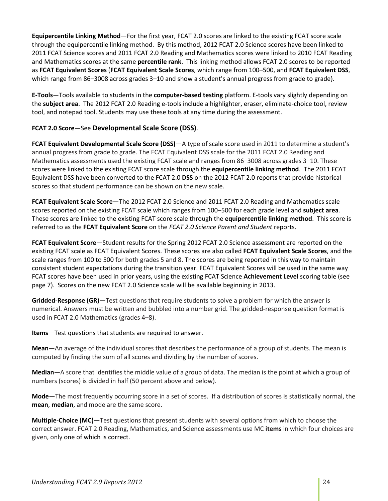**Equipercentile Linking Method**—For the first year, FCAT 2.0 scores are linked to the existing FCAT score scale through the equipercentile linking method. By this method, 2012 FCAT 2.0 Science scores have been linked to 2011 FCAT Science scores and 2011 FCAT 2.0 Reading and Mathematics scores were linked to 2010 FCAT Reading and Mathematics scores at the same **percentile rank**. This linking method allows FCAT 2.0 scores to be reported as **FCAT Equivalent Scores** (**FCAT Equivalent Scale Scores**, which range from 100–500, and **FCAT Equivalent DSS**, which range from 86–3008 across grades 3–10 and show a student's annual progress from grade to grade).

**E-Tools**—Tools available to students in the **computer-based testing** platform. E-tools vary slightly depending on the **subject area**. The 2012 FCAT 2.0 Reading e-tools include a highlighter, eraser, eliminate-choice tool, review tool, and notepad tool. Students may use these tools at any time during the assessment.

# **FCAT 2.0 Score**—See **Developmental Scale Score (DSS)**.

**FCAT Equivalent Developmental Scale Score (DSS)**—A type of scale score used in 2011 to determine a student's annual progress from grade to grade. The FCAT Equivalent DSS scale for the 2011 FCAT 2.0 Reading and Mathematics assessments used the existing FCAT scale and ranges from 86–3008 across grades 3–10. These scores were linked to the existing FCAT score scale through the **equipercentile linking method**. The 2011 FCAT Equivalent DSS have been converted to the FCAT 2.0 **DSS** on the 2012 FCAT 2.0 reports that provide historical scores so that student performance can be shown on the new scale.

**FCAT Equivalent Scale Score**—The 2012 FCAT 2.0 Science and 2011 FCAT 2.0 Reading and Mathematics scale scores reported on the existing FCAT scale which ranges from 100–500 for each grade level and **subject area**. These scores are linked to the existing FCAT score scale through the **equipercentile linking method**. This score is referred to as the **FCAT Equivalent Score** on the *FCAT 2.0 Science Parent and Student* reports.

**FCAT Equivalent Score**—Student results for the Spring 2012 FCAT 2.0 Science assessment are reported on the existing FCAT scale as FCAT Equivalent Scores. These scores are also called **FCAT Equivalent Scale Scores**, and the scale ranges from 100 to 500 for both grades 5 and 8. The scores are being reported in this way to maintain consistent student expectations during the transition year. FCAT Equivalent Scores will be used in the same way FCAT scores have been used in prior years, using the existing FCAT Science **Achievement Level** scoring table (see page 7). Scores on the new FCAT 2.0 Science scale will be available beginning in 2013.

**Gridded-Response (GR)**—Test questions that require students to solve a problem for which the answer is numerical. Answers must be written and bubbled into a number grid. The gridded-response question format is used in FCAT 2.0 Mathematics (grades 4–8).

# **Items**—Test questions that students are required to answer.

**Mean**—An average of the individual scores that describes the performance of a group of students. The mean is computed by finding the sum of all scores and dividing by the number of scores.

**Median**—A score that identifies the middle value of a group of data. The median is the point at which a group of numbers (scores) is divided in half (50 percent above and below).

**Mode**—The most frequently occurring score in a set of scores. If a distribution of scores is statistically normal, the **mean**, **median**, and mode are the same score.

**Multiple-Choice (MC)**—Test questions that present students with several options from which to choose the correct answer. FCAT 2.0 Reading, Mathematics, and Science assessments use MC **items** in which four choices are given, only one of which is correct.